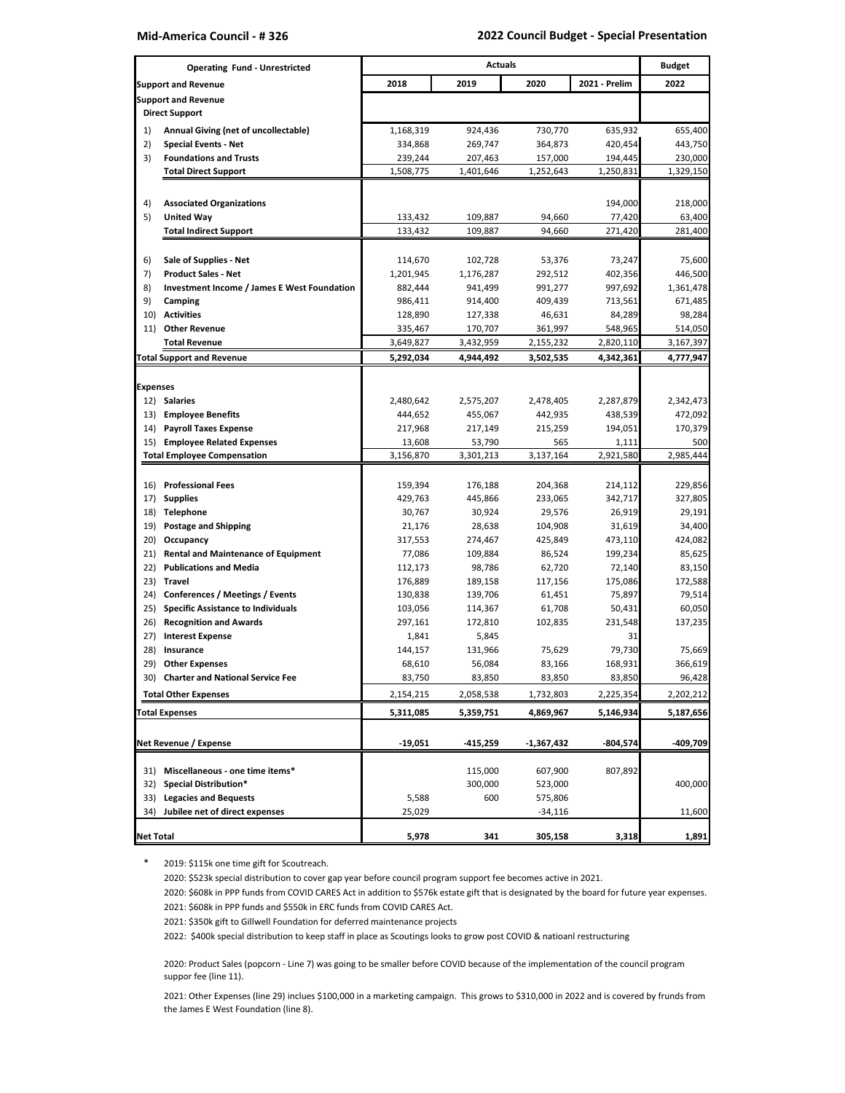| <b>Operating Fund - Unrestricted</b> |                                                                                     | <b>Actuals</b>       |                      |                    |                   | <b>Budget</b>     |
|--------------------------------------|-------------------------------------------------------------------------------------|----------------------|----------------------|--------------------|-------------------|-------------------|
| <b>Support and Revenue</b>           |                                                                                     | 2018                 | 2019                 | 2020               | 2021 - Prelim     | 2022              |
|                                      | <b>Support and Revenue</b>                                                          |                      |                      |                    |                   |                   |
|                                      | <b>Direct Support</b>                                                               |                      |                      |                    |                   |                   |
| 1)                                   | Annual Giving (net of uncollectable)                                                | 1,168,319            | 924,436              | 730,770            | 635,932           | 655,400           |
| 2)                                   | <b>Special Events - Net</b>                                                         | 334,868              | 269,747              | 364,873            | 420,454           | 443,750           |
| 3)                                   | <b>Foundations and Trusts</b>                                                       | 239,244              | 207,463              | 157,000            | 194,445           | 230,000           |
|                                      | <b>Total Direct Support</b>                                                         | 1,508,775            | 1,401,646            | 1,252,643          | 1,250,831         | 1,329,150         |
|                                      |                                                                                     |                      |                      |                    |                   |                   |
| 4)                                   | <b>Associated Organizations</b>                                                     |                      |                      |                    | 194,000           | 218,000           |
| 5)                                   | <b>United Way</b>                                                                   | 133,432              | 109,887              | 94,660             | 77,420            | 63,400            |
|                                      | <b>Total Indirect Support</b>                                                       | 133,432              | 109,887              | 94,660             | 271,420           | 281,400           |
|                                      |                                                                                     |                      |                      |                    |                   |                   |
| 6)                                   | Sale of Supplies - Net<br><b>Product Sales - Net</b>                                | 114,670<br>1,201,945 | 102,728              | 53,376<br>292,512  | 73,247<br>402,356 | 75,600<br>446,500 |
| 7)<br>8)                             | <b>Investment Income / James E West Foundation</b>                                  | 882,444              | 1,176,287<br>941,499 | 991,277            | 997,692           | 1,361,478         |
| 9)                                   | Camping                                                                             | 986,411              | 914,400              | 409,439            | 713,561           | 671,485           |
| 10)                                  | <b>Activities</b>                                                                   | 128,890              | 127,338              | 46,631             | 84,289            | 98,284            |
| 11)                                  | <b>Other Revenue</b>                                                                | 335,467              | 170,707              | 361,997            | 548,965           | 514,050           |
|                                      | <b>Total Revenue</b>                                                                | 3,649,827            | 3,432,959            | 2,155,232          | 2,820,110         | 3,167,397         |
|                                      | <b>Total Support and Revenue</b>                                                    | 5,292,034            | 4,944,492            | 3,502,535          | 4,342,361         | 4,777,947         |
|                                      |                                                                                     |                      |                      |                    |                   |                   |
| <b>Expenses</b>                      |                                                                                     |                      |                      |                    |                   |                   |
| 12)                                  | <b>Salaries</b>                                                                     | 2,480,642            | 2,575,207            | 2,478,405          | 2,287,879         | 2,342,473         |
| 13)                                  | <b>Employee Benefits</b>                                                            | 444,652              | 455,067              | 442,935            | 438,539           | 472,092           |
| 14)                                  | <b>Payroll Taxes Expense</b>                                                        | 217,968              | 217,149              | 215,259            | 194,051           | 170,379           |
| 15)                                  | <b>Employee Related Expenses</b>                                                    | 13,608               | 53,790               | 565                | 1,111             | 500               |
|                                      | <b>Total Employee Compensation</b>                                                  | 3,156,870            | 3,301,213            | 3,137,164          | 2,921,580         | 2,985,444         |
| 16)                                  | <b>Professional Fees</b>                                                            | 159,394              | 176,188              | 204,368            | 214,112           | 229,856           |
| 17)                                  | <b>Supplies</b>                                                                     | 429,763              | 445,866              | 233,065            | 342,717           | 327,805           |
| 18)                                  | <b>Telephone</b>                                                                    | 30,767               | 30,924               | 29,576             | 26,919            | 29,191            |
| 19)                                  | <b>Postage and Shipping</b>                                                         | 21,176               | 28,638               | 104,908            | 31,619            | 34,400            |
| 20)                                  | Occupancy                                                                           | 317,553              | 274,467              | 425,849            | 473,110           | 424,082           |
| 21)                                  | <b>Rental and Maintenance of Equipment</b>                                          | 77,086               | 109,884              | 86,524             | 199,234           | 85,625            |
| 22)                                  | <b>Publications and Media</b>                                                       | 112,173              | 98,786               | 62,720             | 72,140            | 83,150            |
| 23)                                  | <b>Travel</b>                                                                       | 176,889              | 189,158              | 117,156            | 175,086           | 172,588           |
| 24)                                  | <b>Conferences / Meetings / Events</b><br><b>Specific Assistance to Individuals</b> | 130,838              | 139,706              | 61,451             | 75,897            | 79,514            |
| 25)<br>26)                           | <b>Recognition and Awards</b>                                                       | 103,056<br>297,161   | 114,367<br>172,810   | 61,708<br>102,835  | 50,431<br>231,548 | 60,050<br>137,235 |
| 27)                                  | <b>Interest Expense</b>                                                             | 1,841                | 5,845                |                    | 31                |                   |
| 28)                                  | Insurance                                                                           | 144,157              | 131,966              | 75,629             | 79,730            | 75,669            |
| 29)                                  | <b>Other Expenses</b>                                                               | 68,610               | 56,084               | 83,166             | 168,931           | 366,619           |
| 30)                                  | <b>Charter and National Service Fee</b>                                             | 83,750               | 83,850               | 83,850             | 83,850            | 96,428            |
|                                      | <b>Total Other Expenses</b>                                                         | 2,154,215            | 2,058,538            | 1,732,803          | 2,225,354         | 2,202,212         |
|                                      | <b>Total Expenses</b>                                                               | 5,311,085            | 5,359,751            | 4,869,967          | 5,146,934         | 5,187,656         |
|                                      |                                                                                     |                      |                      |                    |                   |                   |
| Net Revenue / Expense                |                                                                                     | $-19,051$            | $-415,259$           | $-1,367,432$       | $-804,574$        | $-409,709$        |
|                                      |                                                                                     |                      |                      |                    |                   |                   |
| 31)                                  | Miscellaneous - one time items*                                                     |                      | 115,000              | 607,900            | 807,892           |                   |
| 32)<br>33)                           | <b>Special Distribution*</b><br><b>Legacies and Bequests</b>                        | 5,588                | 300,000<br>600       | 523,000<br>575,806 |                   | 400,000           |
| 34)                                  | Jubilee net of direct expenses                                                      | 25,029               |                      | $-34,116$          |                   | 11,600            |
|                                      |                                                                                     |                      |                      |                    |                   |                   |
| <b>Net Total</b>                     |                                                                                     | 5,978                | 341                  | 305,158            | 3,318             | 1,891             |

\* 2019: \$115k one time gift for Scoutreach.

2020: \$523k special distribution to cover gap year before council program support fee becomes active in 2021.

2020: \$608k in PPP funds from COVID CARES Act in addition to \$576k estate gift that is designated by the board for future year expenses. 2021: \$608k in PPP funds and \$550k in ERC funds from COVID CARES Act.

2021: \$350k gift to Gillwell Foundation for deferred maintenance projects

2022: \$400k special distribution to keep staff in place as Scoutings looks to grow post COVID & natioanl restructuring

2020: Product Sales (popcorn - Line 7) was going to be smaller before COVID because of the implementation of the council program suppor fee (line 11).

2021: Other Expenses (line 29) inclues \$100,000 in a marketing campaign. This grows to \$310,000 in 2022 and is covered by frunds from the James E West Foundation (line 8).